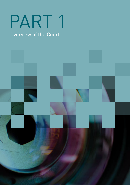# PART 1

## Overview of the Court

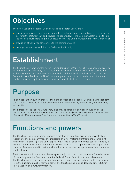## **Objectives**

The objectives of the Federal Court of Australia (Federal Court) are to:

- decide disputes according to law promptly, courteously and effectively and, in so doing, to interpret the statutory law and develop the general law of the Commonwealth, so as to fulfil the role of a court exercising the judicial power of the Commonwealth under the Constitution
- provide an effective registry service to the community, and
- manage the resources allotted by Parliament efficiently.

## Establishment

The Federal Court was created by the Federal Court of Australia Act 1976 and began to exercise its jurisdiction on 1 February 1977. It assumed jurisdiction formerly exercised in part by the High Court of Australia and the whole jurisdiction of the Australian Industrial Court and the Federal Court of Bankruptcy. The Court is a superior court of record and a court of law and equity. It sits in all capital cities and elsewhere in Australia from time to time.

## Purpose

As outlined in the Court's Corporate Plan, the purpose of the Federal Court as an independent court of law is to decide disputes according to the law as quickly, inexpensively and efficiently as possible.

The purpose of the Federal Court entity is to provide corporate services in support of the operations of the Federal Court, Family Court of Australia (Family Court), Federal Circuit Court of Australia (Federal Circuit Court) and the National Native Title Tribunal.

## Functions and powers

The Court's jurisdiction is broad, covering almost all civil matters arising under Australian federal law and some summary and indictable criminal matters. Central to the Court's civil jurisdiction is s 39B(1A) of the *Judiciary Act 1903*. This jurisdiction includes cases created by a federal statute, and extends to matters in which a federal issue is properly raised as part of a claim or of a defence and to matters where the subject matter in dispute owes its existence to a federal state.

The Court has a substantial and diverse appellate jurisdiction. It hears appeals from decisions of single judges of the Court and from the Federal Circuit Court in non-family law matters. The Court also exercises general appellate jurisdiction in criminal and civil matters on appeal from the Supreme Court of Norfolk Island. The Court's jurisdiction is described more fully in Part 3 (Report on Court performance).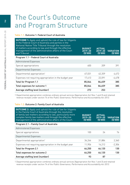## The Court's Outcome and Program Structure

#### Table 1.1: Outcome 1: Federal Court of Australia

| <b>OUTCOME 1:</b> Apply and uphold the rule of law for litigants<br>in the Federal Court of Australia and parties in the<br>National Native Title Tribunal through the resolution<br>of matters according to law and through the effective<br>management of the administrative affairs of the Court<br>and Tribunal. | <b>BUDGET</b><br>$2019 - 20$<br>(S'000) | <b>ACTUAL</b><br>$2019 - 20$<br>(S'000) | <b>VARIATION</b><br>(S'000) |
|----------------------------------------------------------------------------------------------------------------------------------------------------------------------------------------------------------------------------------------------------------------------------------------------------------------------|-----------------------------------------|-----------------------------------------|-----------------------------|
| Program 1.1 – Federal Court of Australia                                                                                                                                                                                                                                                                             |                                         |                                         |                             |
| Administered Expenses                                                                                                                                                                                                                                                                                                |                                         |                                         |                             |
| Special appropriations                                                                                                                                                                                                                                                                                               | 600                                     | 209                                     | 391                         |
| Departmental Expenses                                                                                                                                                                                                                                                                                                |                                         |                                         |                             |
| Departmental appropriation <sup>1</sup>                                                                                                                                                                                                                                                                              | 67,031                                  | 62,359                                  | 4.672                       |
| Expenses not requiring appropriation in the budget year                                                                                                                                                                                                                                                              | 17,413                                  | 22.091                                  | -4.678                      |
| Total for Program 1.1                                                                                                                                                                                                                                                                                                | 85,044                                  | 84,659                                  | 385                         |
| Total expenses for outcome 1                                                                                                                                                                                                                                                                                         | 85,044                                  | 84,659                                  | 385                         |
| Average staffing level (number)                                                                                                                                                                                                                                                                                      | 272                                     | 253                                     |                             |

1 Departmental appropriation combines ordinary annual services (Appropriation Act Nos 1 and 3) and retained revenue receipts under section 74 of the Public Governance, Performance and Accountability Act 2013.

#### Table 1.2: Outcome 2: Family Court of Australia

| <b>OUTCOME 2:</b> Apply and uphold the rule of law for litigants<br>in the Family Court of Australia through the resolution<br>of family law matters according to law, particularly more<br>complex family law matters and through the effective<br>management of the administrative affairs of the Court. | <b>BUDGET</b><br>$2019 - 20$<br>(S'000) | <b>ACTUAL</b><br>$2019 - 20$<br>(S'000) | <b>VARIATION</b><br>(S'000) |
|------------------------------------------------------------------------------------------------------------------------------------------------------------------------------------------------------------------------------------------------------------------------------------------------------------|-----------------------------------------|-----------------------------------------|-----------------------------|
| Program 2.1 - Family Court of Australia                                                                                                                                                                                                                                                                    |                                         |                                         |                             |
| Administered Expenses                                                                                                                                                                                                                                                                                      |                                         |                                         |                             |
| Special appropriations                                                                                                                                                                                                                                                                                     | 100                                     | 24                                      | 76                          |
| Departmental Expenses                                                                                                                                                                                                                                                                                      |                                         |                                         |                             |
| Departmental appropriation <sup>1</sup>                                                                                                                                                                                                                                                                    | 34,244                                  | 31,884                                  | 2,360                       |
| Expenses not requiring appropriation in the budget year                                                                                                                                                                                                                                                    | 11,906                                  | 14.212                                  | $-2,306$                    |
| Total for Program 2.1                                                                                                                                                                                                                                                                                      | 46,250                                  | 46,120                                  | 130                         |
| Total expenses for outcome 2                                                                                                                                                                                                                                                                               | 46,250                                  | 46,120                                  | 130                         |
| Average staffing level (number)                                                                                                                                                                                                                                                                            | 93                                      | 87                                      |                             |

1 Departmental appropriation combines ordinary annual services (Appropriation Act Nos 1 and 3) and retained revenue receipts under section 74 of the Public Governance, Performance and Accountability Act 2013.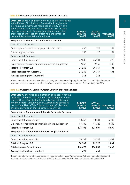#### Table 1.3: Outcome 3: Federal Circuit Court of Australia

| <b>OUTCOME 3:</b> Apply and uphold the rule of law for litigants<br>in the Federal Circuit Court of Australia through more<br>informal and streamlined resolution of family law and<br>general federal law matters according to law, through<br>the encouragement of appropriate dispute resolution<br>processes and through the effective management of<br>the administrative affairs of the Court. | <b>BUDGET</b><br>$2019 - 20$<br>(S'000) | <b>ACTUAL</b><br>$2019 - 20$<br>(S'000) | <b>VARIATION</b><br>(S'000) |
|------------------------------------------------------------------------------------------------------------------------------------------------------------------------------------------------------------------------------------------------------------------------------------------------------------------------------------------------------------------------------------------------------|-----------------------------------------|-----------------------------------------|-----------------------------|
| Program 3.1 - Federal Circuit Court of Australia                                                                                                                                                                                                                                                                                                                                                     |                                         |                                         |                             |
| Administered Expenses                                                                                                                                                                                                                                                                                                                                                                                |                                         |                                         |                             |
| Ordinary annual services (Appropriation Act No.1)                                                                                                                                                                                                                                                                                                                                                    | 880                                     | 726                                     | 154                         |
| Special appropriations                                                                                                                                                                                                                                                                                                                                                                               | 200                                     | 113                                     | 87                          |
| Departmental Expenses                                                                                                                                                                                                                                                                                                                                                                                |                                         |                                         |                             |
| Departmental appropriation <sup>1</sup>                                                                                                                                                                                                                                                                                                                                                              | 67,803                                  | 66,981                                  | 822                         |
| Expenses not requiring appropriation in the budget year                                                                                                                                                                                                                                                                                                                                              | 2,367                                   | 2.949                                   | $-582$                      |
| Total for Program 3.1                                                                                                                                                                                                                                                                                                                                                                                | 71,250                                  | 70,769                                  | 481                         |
| Total expenses for outcome 3                                                                                                                                                                                                                                                                                                                                                                         | 71,250                                  | 70,769                                  | 481                         |
| Average staffing level (number)                                                                                                                                                                                                                                                                                                                                                                      | 265                                     | 243                                     |                             |

1 Departmental appropriation combines ordinary annual services (Appropriation Act Nos 1 and 3) and retained revenue receipts under section 74 of the Public Governance, Performance and Accountability Act 2013.

#### Table 1.4: Outcome 4: Commonwealth Courts Corporate Services

| <b>OUTCOME 4:</b> Improved administration and support for the<br>resolution of matters according to law for litigants in the<br>Federal Court of Australia, the Family Court of Australia<br>and the Federal Circuit Court of Australia and parties in<br>the National Native Title Tribunal through efficient and<br>effective provision of shared corporate services. | <b>BUDGET</b><br>$2019 - 20$<br>(S'000) | <b>ACTUAL</b><br>$2019 - 20$<br>(S'000) | <b>VARIATION</b><br>(S'000) |
|-------------------------------------------------------------------------------------------------------------------------------------------------------------------------------------------------------------------------------------------------------------------------------------------------------------------------------------------------------------------------|-----------------------------------------|-----------------------------------------|-----------------------------|
| Program 4.1 - Commonwealth Courts Corporate Services                                                                                                                                                                                                                                                                                                                    |                                         |                                         |                             |
| Departmental Expenses                                                                                                                                                                                                                                                                                                                                                   |                                         |                                         |                             |
| Departmental appropriation <sup>1</sup>                                                                                                                                                                                                                                                                                                                                 | 78,467                                  | 73,281                                  | 5.186                       |
| Expenses not requiring appropriation in the budget year                                                                                                                                                                                                                                                                                                                 | 57,636                                  | 54,228                                  | 3,408                       |
| Total for Program 4.1                                                                                                                                                                                                                                                                                                                                                   | 136,103                                 | 127,509                                 | 8,594                       |
| Program 4.2 - Commonwealth Courts Registry Services                                                                                                                                                                                                                                                                                                                     |                                         |                                         |                             |
| Departmental Expenses                                                                                                                                                                                                                                                                                                                                                   |                                         |                                         |                             |
| Departmental appropriation                                                                                                                                                                                                                                                                                                                                              | 30,367                                  | 29,298                                  | 1,069                       |
| Total for Program 4.2                                                                                                                                                                                                                                                                                                                                                   | 30,367                                  | 29,298                                  | 1,069                       |
| Total expenses for outcome 4                                                                                                                                                                                                                                                                                                                                            | 166,470                                 | 156,807                                 | 9,663                       |
| Average staffing level (number)                                                                                                                                                                                                                                                                                                                                         | 470                                     | 451                                     |                             |

1 Departmental appropriation combines ordinary annual services (Appropriation Act Nos 1 and 3) and retained revenue receipts under section 74 of the Public Governance, Performance and Accountability Act 2013.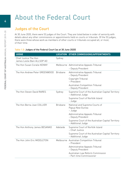## About the Federal Court

### Judges of the Court

At 30 June 2020, there were 53 judges of the Court. They are listed below in order of seniority with details about any other commissions or appointments held on courts or tribunals. Of the 53 judges, there were three whose work as members of other courts or tribunals occupied all, or most, of their time.

#### Table 1.5: Judges of the Federal Court (as at 30 June 2020)

| <b>JUDGE</b>                                         | <b>LOCATION</b> | <b>OTHER COMMISSIONS/APPOINTMENTS</b>                                   |
|------------------------------------------------------|-----------------|-------------------------------------------------------------------------|
| Chief Justice The Hon<br>James Leslie Bain ALLSOP AO | Sydney          |                                                                         |
| The Hon Susan Coralie KENNY                          |                 | Melbourne Administrative Appeals Tribunal                               |
|                                                      |                 | - Deputy President                                                      |
| The Hon Andrew Peter GREENWOOD                       | <b>Brisbane</b> | Administrative Appeals Tribunal<br>- Deputy President                   |
|                                                      |                 | Copyright Tribunal<br>- President                                       |
|                                                      |                 | Australian Competition Tribunal<br>- Deputy President                   |
| The Hon Steven David RARES                           | Sydney          | Supreme Court of the Australian Capital Territory<br>- Additional Judge |
|                                                      |                 | Supreme Court of Norfolk Island<br>- Judge                              |
| The Hon Berna Joan COLLIER                           | <b>Brisbane</b> | National and Supreme Courts of<br>Papua New Guinea<br>- Judge           |
|                                                      |                 | Administrative Appeals Tribunal<br>- Deputy President                   |
|                                                      |                 | Supreme Court of the Australian Capital Territory<br>- Additional Judge |
| The Hon Anthony James BESANKO                        | Adelaide        | Supreme Court of Norfolk Island<br>- Chief Justice                      |
|                                                      |                 | Supreme Court of the Australian Capital Territory<br>– Additional Judge |
| The Hon John Eric MIDDLETON                          |                 | Melbourne Australian Competition Tribunal<br>- President                |
|                                                      |                 | Administrative Appeals Tribunal<br>- Deputy President                   |
|                                                      |                 | Australian Law Reform Commission<br>- Part-time Commissioner            |

4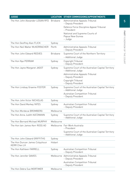| <b>JUDGE</b>                                   | <b>LOCATION</b> | <b>OTHER COMMISSIONS/APPOINTMENTS</b>                                   |
|------------------------------------------------|-----------------|-------------------------------------------------------------------------|
| The Hon John Alexander LOGAN RFD               | <b>Brisbane</b> | Administrative Appeals Tribunal<br>- Deputy President                   |
|                                                |                 | Defence Force Discipline Appeal Tribunal<br>- President                 |
|                                                |                 | National and Supreme Courts of<br>Papua New Guinea<br>- Judge           |
| The Hon Geoffrey Alan FLICK                    | Sydney          |                                                                         |
| The Hon Neil Walter McKERRACHER                | Perth           | Administrative Appeals Tribunal<br>- Deputy President                   |
| The Hon John Edward REEVES                     | <b>Brisbane</b> | Supreme Court of the Northern Territory                                 |
|                                                |                 | - Additional Judge                                                      |
| The Hon Nye PERRAM                             | Sydney          | Copyright Tribunal<br>- Deputy President                                |
| The Hon Jayne Margaret JAGOT                   | Sydney          | Supreme Court of the Australian Capital Territory<br>- Additional Judge |
|                                                |                 | Administrative Appeals Tribunal<br>- Deputy President                   |
|                                                |                 | Copyright Tribunal<br>- Deputy President                                |
| The Hon Lindsay Graeme FOSTER                  | Sydney          | Supreme Court of the Australian Capital Territory<br>- Additional Judge |
|                                                |                 | Australian Competition Tribunal<br>- Deputy President                   |
| The Hon John Victor NICHOLAS                   | Sydney          |                                                                         |
| The Hon David Markey YATES                     | Sydney          | Australian Competition Tribunal<br>- Deputy President                   |
| The Hon Mordecai BROMBERG                      | Melbourne       |                                                                         |
| The Hon Anna Judith KATZMANN                   | Sydney          | Supreme Court of the Australian Capital Territory<br>- Additional Judge |
| The Hon Bernard Michael MURPHY                 | Melbourne       |                                                                         |
| The Hon Jain James Kerr ROSS AO                |                 | Melbourne Fair Work Australia<br>- President                            |
|                                                |                 | Supreme Court of the Australian Capital Territory<br>- Additional Judge |
| The Hon John Edward GRIFFITHS                  | Sydney          |                                                                         |
| The Hon Duncan James Colquhoun<br>KERR Chev LH | Hobart          |                                                                         |
| The Hon Kathleen FARRELL                       | Sydney          | Australian Competition Tribunal<br>- Deputy President                   |
| The Hon Jennifer DAVIES                        |                 | Melbourne Administrative Appeals Tribunal<br>- Deputy President         |
|                                                |                 | Australian Competition Tribunal<br>- Deputy President                   |
| The Hon Debra Sue MORTIMER                     | Melbourne       |                                                                         |

5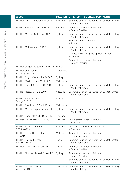| <b>JUDGE</b>                                  | <b>LOCATION</b> | <b>OTHER COMMISSIONS/APPOINTMENTS</b>                                   |
|-----------------------------------------------|-----------------|-------------------------------------------------------------------------|
| The Hon Darryl Cameron RANGIAH                | Brisbane        | Supreme Court of the Australian Capital Territory<br>- Additional Judge |
| The Hon Richard Conway WHITE                  | Adelaide        | Administrative Appeals Tribunal<br>- Deputy President                   |
| The Hon Michael Andrew WIGNEY                 | Sydney          | Supreme Court of the Australian Capital Territory<br>- Additional Judge |
|                                               |                 | Supreme Court of Norfolk Island<br>- Judge                              |
| The Hon Melissa Anne PERRY                    | Sydney          | Supreme Court of the Australian Capital Territory<br>- Additional Judge |
|                                               |                 | Defence Force Discipline Appeal Tribunal<br>- Member                    |
|                                               |                 | Administrative Appeals Tribunal<br>- Deputy President                   |
| The Hon Jacqueline Sarah GLEESON              | Sydney          |                                                                         |
| The Hon Jonathan Barry<br>Rashleigh BEACH     | Melbourne       |                                                                         |
| The Hon Brigitte Sandra MARKOVIC              | Sydney          |                                                                         |
| The Hon Mark Kranz MOSHINSKY                  | Melbourne       |                                                                         |
| The Hon Robert James BROMWICH                 | Sydney          | Supreme Court of the Australian Capital Territory<br>- Additional Judge |
| The Hon Natalie CHARLESWORTH                  | Adelaide        | Supreme Court of the Australian Capital Territory<br>- Additional Judge |
| The Hon Stephen Carey<br>George BURLEY        | Sydney          |                                                                         |
| The Hon David John O'CALLAGHAN                | Melbourne       |                                                                         |
| The Hon Michael Bryan Joshua LEE              | Sydney          | Supreme Court of the Australian Capital Territory<br>- Additional Judge |
| The Hon Roger Marc DERRINGTON                 | Brisbane        |                                                                         |
| The Hon David Graham THOMAS                   | Brisbane        | Administrative Appeals Tribunal<br>- President                          |
| The Hon Sarah Catherine<br><b>DERRINGTON</b>  | Brisbane        | Australian Law Reform Commission<br>- President                         |
| The Hon Simon Harry Peter<br><b>STEWARD</b>   |                 | Melbourne Administrative Appeals Tribunal<br>-Deputy President          |
| The Hon Katrina Frances<br><b>BANKS-SMITH</b> | Perth           | Supreme Court of the Australian Capital Territory<br>- Additional Judge |
| The Hon Craig Grierson COLVIN                 | Perth           | Administrative Appeals Tribunal<br>- Deputy President                   |
| The Hon Thomas Michael THAWLEY                | Sydney          | Administrative Appeals Tribunal<br>- Deputy President                   |
|                                               |                 | Supreme Court of the Australian Capital Territory<br>- Additional Judge |
| The Hon Michael Francis<br>WHEELAHAN          | Melbourne       | Supreme Court of the Australian Capital Territory<br>- Additional Judge |
|                                               |                 |                                                                         |

6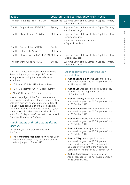| <b>JUDGE</b>                               |           | LOCATION OTHER COMMISSIONS/APPOINTMENTS                                           |
|--------------------------------------------|-----------|-----------------------------------------------------------------------------------|
| The Hon Paul Elias ANASTASSIOU             |           | Melbourne Supreme Court of the Australian Capital Territory<br>- Additional Judge |
| The Hon Angus Morkel STEWART               | Sydney    | Supreme Court of the Australian Capital Territory<br>- Additional Judge           |
| The Hon Michael Hugh O'BRYAN               | Melbourne | Supreme Court of the Australian Capital Territory<br>- Additional Judge           |
|                                            |           | Australian Competition Tribunal<br>- Deputy President                             |
| The Hon Darren John JACKSON                | Perth     |                                                                                   |
| The Hon John Leslie SNADEN                 | Melbourne |                                                                                   |
| The Hon Stewart Maxwell ANDERSON Melbourne |           | Supreme Court of the Australian Capital Territory<br>- Additional Judge           |
| The Hon Wendy Jane ABRAHAM                 | Sydney    | Supreme Court of the Australian Capital Territory<br>– Additional Judge           |

The Chief Justice was absent on the following dates during the year. Acting Chief Justice arrangements during these periods were as follows:

- 25 June to 15 July 2019 Justice Rares
- 10 to 12 September 2019 Justice Kenny
- 21 to 22 October 2019 Justice Kenny

Most of the judges of the Court devote some time to other courts and tribunals on which they hold commissions or appointments. Judges of the Court also spend a lot of time on activities related to legal education and the justice system. More information about these activities is set out in Part 3 (Report on Court performance) and Appendix 8 (Judges' activities).

#### Appointments and retirements during 2019–20

During the year, one judge retired from the Court:

■ The Honourable Alan Robertson retired upon reaching the compulsory retirement age for federal judges on 8 May 2020.

#### Other appointments during the year are as follows:

- **Justice Banks-Smith** was appointed as an Additional Judge of the ACT Supreme Court on 22 August 2019.
- **Justice Lee** was appointed as an Additional Judge of the ACT Supreme Court on 23 October 2019.
- **Justice Thawley** was appointed as an Additional Judge of the ACT Supreme Court on 23 October 2019.
- **Justice Wheelahan** was appointed as an Additional Judge of the ACT Supreme Court on 23 October 2019.
- **Justice Anastassiou** was appointed as an Additional Judge of the ACT Supreme Court on 23 October 2019.
- **Justice Stewart** was appointed as an Additional Judge of the ACT Supreme Court on 23 October 2019.
- **Justice O'Bryan** was appointed as an Additional Judge of the ACT Supreme Court on 23 October 2019, and appointed as a Deputy President of the Australian Competition Tribunal on 13 December 2019.
- **Justice Anderson** was appointed as an Additional Judge of the ACT Supreme Court on 23 October 2019.